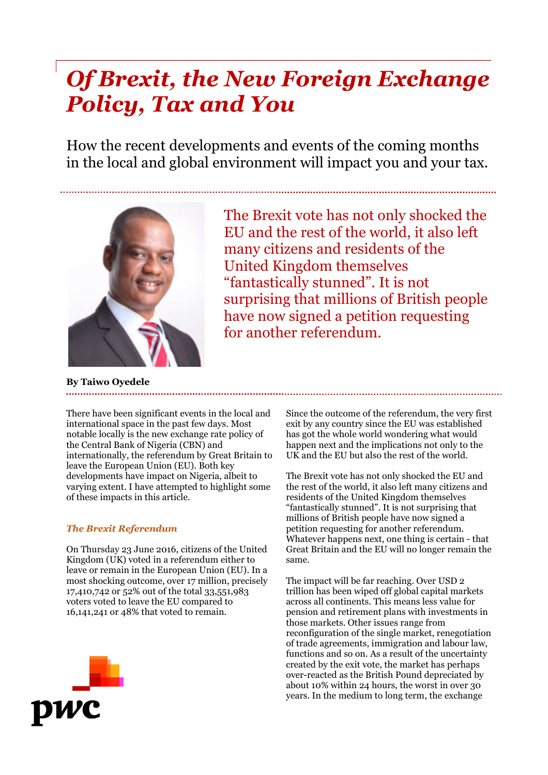# *Of Brexit, the New Foreign Exchange Policy, Tax and You*

How the recent developments and events of the coming months in the local and global environment will impact you and your tax.



The Brexit vote has not only shocked the EU and the rest of the world, it also left many citizens and residents of the United Kingdom themselves "fantastically stunned". It is not surprising that millions of British people have now signed a petition requesting for another referendum.

**By Taiwo Oyedele**

There have been significant events in the local and international space in the past few days. Most notable locally is the new exchange rate policy of the Central Bank of Nigeria (CBN) and internationally, the referendum by Great Britain to leave the European Union (EU). Both key developments have impact on Nigeria, albeit to varying extent. I have attempted to highlight some of these impacts in this article.

## *The Brexit Referendum*

On Thursday 23 June 2016, citizens of the United Kingdom (UK) voted in a referendum either to leave or remain in the European Union (EU). In a most shocking outcome, over 17 million, precisely 17,410,742 or 52% out of the total 33,551,983 voters voted to leave the EU compared to 16,141,241 or 48% that voted to remain.

Since the outcome of the referendum, the very first exit by any country since the EU was established has got the whole world wondering what would happen next and the implications not only to the UK and the EU but also the rest of the world.

The Brexit vote has not only shocked the EU and the rest of the world, it also left many citizens and residents of the United Kingdom themselves "fantastically stunned". It is not surprising that millions of British people have now signed a petition requesting for another referendum. Whatever happens next, one thing is certain - that Great Britain and the EU will no longer remain the same.

The impact will be far reaching. Over USD 2 trillion has been wiped off global capital markets across all continents. This means less value for pension and retirement plans with investments in those markets. Other issues range from reconfiguration of the single market, renegotiation of trade agreements, immigration and labour law, functions and so on. As a result of the uncertainty created by the exit vote, the market has perhaps over-reacted as the British Pound depreciated by about 10% within 24 hours, the worst in over 30 years. In the medium to long term, the exchange

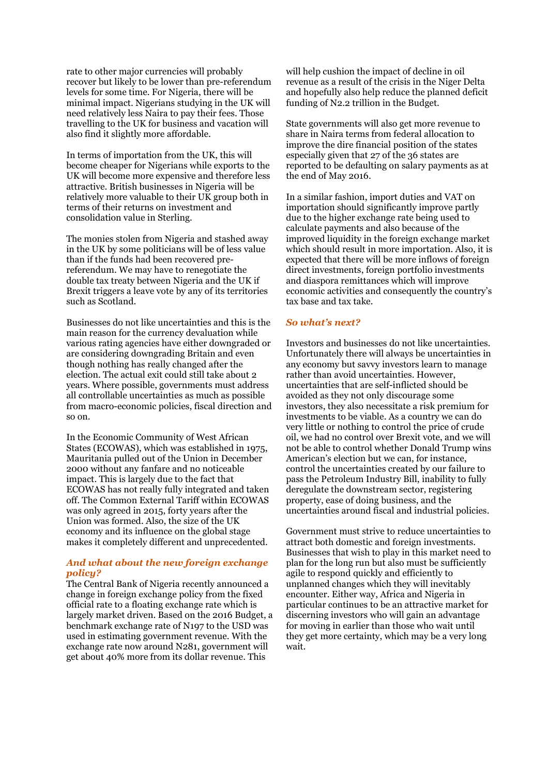rate to other major currencies will probably recover but likely to be lower than pre-referendum levels for some time. For Nigeria, there will be minimal impact. Nigerians studying in the UK will need relatively less Naira to pay their fees. Those travelling to the UK for business and vacation will also find it slightly more affordable.

In terms of importation from the UK, this will become cheaper for Nigerians while exports to the UK will become more expensive and therefore less attractive. British businesses in Nigeria will be relatively more valuable to their UK group both in terms of their returns on investment and consolidation value in Sterling.

The monies stolen from Nigeria and stashed away in the UK by some politicians will be of less value than if the funds had been recovered prereferendum. We may have to renegotiate the double tax treaty between Nigeria and the UK if Brexit triggers a leave vote by any of its territories such as Scotland.

Businesses do not like uncertainties and this is the main reason for the currency devaluation while various rating agencies have either downgraded or are considering downgrading Britain and even though nothing has really changed after the election. The actual exit could still take about 2 years. Where possible, governments must address all controllable uncertainties as much as possible from macro-economic policies, fiscal direction and so on.

In the Economic Community of West African States (ECOWAS), which was established in 1975, Mauritania pulled out of the Union in December 2000 without any fanfare and no noticeable impact. This is largely due to the fact that ECOWAS has not really fully integrated and taken off. The Common External Tariff within ECOWAS was only agreed in 2015, forty years after the Union was formed. Also, the size of the UK economy and its influence on the global stage makes it completely different and unprecedented.

### *And what about the new foreign exchange policy?*

The Central Bank of Nigeria recently announced a change in foreign exchange policy from the fixed official rate to a floating exchange rate which is largely market driven. Based on the 2016 Budget, a benchmark exchange rate of N197 to the USD was used in estimating government revenue. With the exchange rate now around N281, government will get about 40% more from its dollar revenue. This

will help cushion the impact of decline in oil revenue as a result of the crisis in the Niger Delta and hopefully also help reduce the planned deficit funding of N2.2 trillion in the Budget.

State governments will also get more revenue to share in Naira terms from federal allocation to improve the dire financial position of the states especially given that 27 of the 36 states are reported to be defaulting on salary payments as at the end of May 2016.

In a similar fashion, import duties and VAT on importation should significantly improve partly due to the higher exchange rate being used to calculate payments and also because of the improved liquidity in the foreign exchange market which should result in more importation. Also, it is expected that there will be more inflows of foreign direct investments, foreign portfolio investments and diaspora remittances which will improve economic activities and consequently the country's tax base and tax take.

### *So what's next?*

Investors and businesses do not like uncertainties. Unfortunately there will always be uncertainties in any economy but savvy investors learn to manage rather than avoid uncertainties. However, uncertainties that are self-inflicted should be avoided as they not only discourage some investors, they also necessitate a risk premium for investments to be viable. As a country we can do very little or nothing to control the price of crude oil, we had no control over Brexit vote, and we will not be able to control whether Donald Trump wins American's election but we can, for instance, control the uncertainties created by our failure to pass the Petroleum Industry Bill, inability to fully deregulate the downstream sector, registering property, ease of doing business, and the uncertainties around fiscal and industrial policies.

Government must strive to reduce uncertainties to attract both domestic and foreign investments. Businesses that wish to play in this market need to plan for the long run but also must be sufficiently agile to respond quickly and efficiently to unplanned changes which they will inevitably encounter. Either way, Africa and Nigeria in particular continues to be an attractive market for discerning investors who will gain an advantage for moving in earlier than those who wait until they get more certainty, which may be a very long wait.